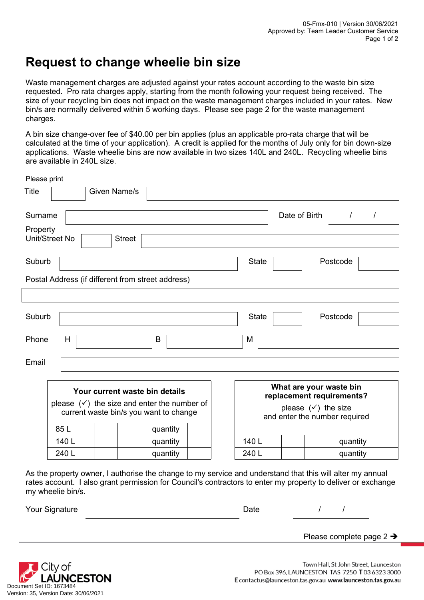## **Request to change wheelie bin size**

Waste management charges are adjusted against your rates account according to the waste bin size requested. Pro rata charges apply, starting from the month following your request being received. The size of your recycling bin does not impact on the waste management charges included in your rates. New bin/s are normally delivered within 5 working days. Please see page 2 for the waste management charges.

A bin size change-over fee of \$40.00 per bin applies (plus an applicable pro-rata charge that will be calculated at the time of your application). A credit is applied for the months of July only for bin down-size applications. Waste wheelie bins are now available in two sizes 140L and 240L. Recycling wheelie bins are available in 240L size.

|                                        | <b>Street</b>                                                                      |              |  |                                                                                                             |                                                                 |  |  |               |                                                                           |
|----------------------------------------|------------------------------------------------------------------------------------|--------------|--|-------------------------------------------------------------------------------------------------------------|-----------------------------------------------------------------|--|--|---------------|---------------------------------------------------------------------------|
|                                        |                                                                                    |              |  |                                                                                                             | <b>State</b>                                                    |  |  |               |                                                                           |
|                                        |                                                                                    |              |  |                                                                                                             |                                                                 |  |  |               |                                                                           |
|                                        |                                                                                    |              |  |                                                                                                             |                                                                 |  |  |               |                                                                           |
|                                        |                                                                                    |              |  |                                                                                                             | <b>State</b>                                                    |  |  |               |                                                                           |
| Н                                      |                                                                                    | B            |  |                                                                                                             | M                                                               |  |  |               |                                                                           |
|                                        |                                                                                    |              |  |                                                                                                             |                                                                 |  |  |               |                                                                           |
|                                        |                                                                                    |              |  |                                                                                                             |                                                                 |  |  |               |                                                                           |
| Your current waste bin details         |                                                                                    |              |  |                                                                                                             | replacement requirements?                                       |  |  |               |                                                                           |
| current waste bin/s you want to change |                                                                                    |              |  |                                                                                                             | please $(\checkmark)$ the size<br>and enter the number required |  |  |               |                                                                           |
| 85L                                    |                                                                                    | quantity     |  |                                                                                                             |                                                                 |  |  |               |                                                                           |
| 140 L                                  |                                                                                    | quantity     |  |                                                                                                             | 140 L                                                           |  |  | quantity      |                                                                           |
|                                        | Please print<br>Surname<br>Property<br>Unit/Street No<br>Suburb<br>Suburb<br>Phone | Given Name/s |  | Postal Address (if different from street address)<br>please $(\checkmark)$ the size and enter the number of |                                                                 |  |  | Date of Birth | $\sqrt{2}$<br>$\prime$<br>Postcode<br>Postcode<br>What are your waste bin |

As the property owner, I authorise the change to my service and understand that this will alter my annual rates account. I also grant permission for Council's contractors to enter my property to deliver or exchange my wheelie bin/s.

240 L | quantity | 240 L | quantity

| Your Signature | Date |  |
|----------------|------|--|
|----------------|------|--|

Please complete page 2  $\rightarrow$